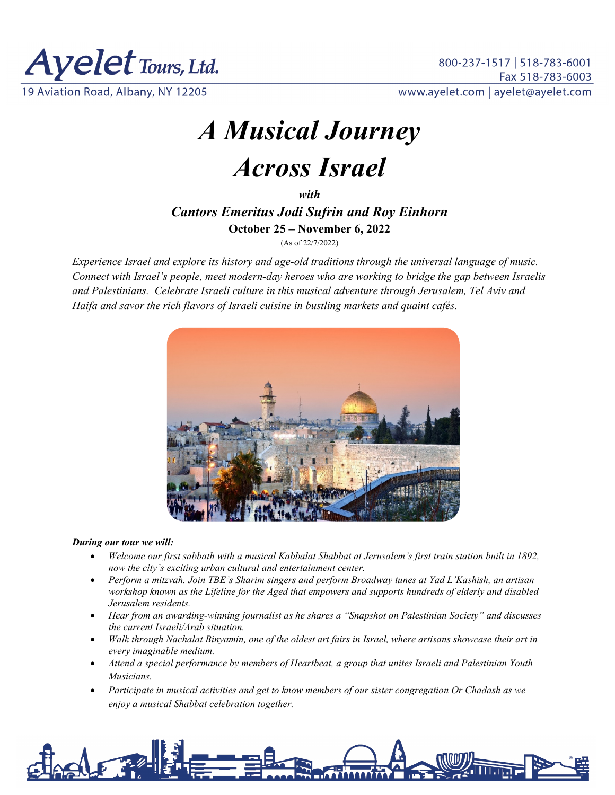

*A Musical Journey Across Israel*

*with Cantors Emeritus Jodi Sufrin and Roy Einhorn* **October 25 – November 6, 2022**

(As of 22/7/2022)

*Experience Israel and explore its history and age-old traditions through the universal language of music. Connect with Israel's people, meet modern-day heroes who are working to bridge the gap between Israelis and Palestinians. Celebrate Israeli culture in this musical adventure through Jerusalem, Tel Aviv and Haifa and savor the rich flavors of Israeli cuisine in bustling markets and quaint cafés.*



#### *During our tour we will:*

- *Welcome our first sabbath with a musical Kabbalat Shabbat at Jerusalem's first train station built in 1892, now the city's exciting urban cultural and entertainment center.*
- *Perform a mitzvah. Join TBE's Sharim singers and perform Broadway tunes at Yad L'Kashish, an artisan workshop known as the Lifeline for the Aged that empowers and supports hundreds of elderly and disabled Jerusalem residents.*
- *Hear from an awarding-winning journalist as he shares a "Snapshot on Palestinian Society" and discusses the current Israeli/Arab situation.*
- *Walk through Nachalat Binyamin, one of the oldest art fairs in Israel, where artisans showcase their art in every imaginable medium.*
- *Attend a special performance by members of Heartbeat, a group that unites Israeli and Palestinian Youth Musicians.*
- *Participate in musical activities and get to know members of our sister congregation Or Chadash as we enjoy a musical Shabbat celebration together.*

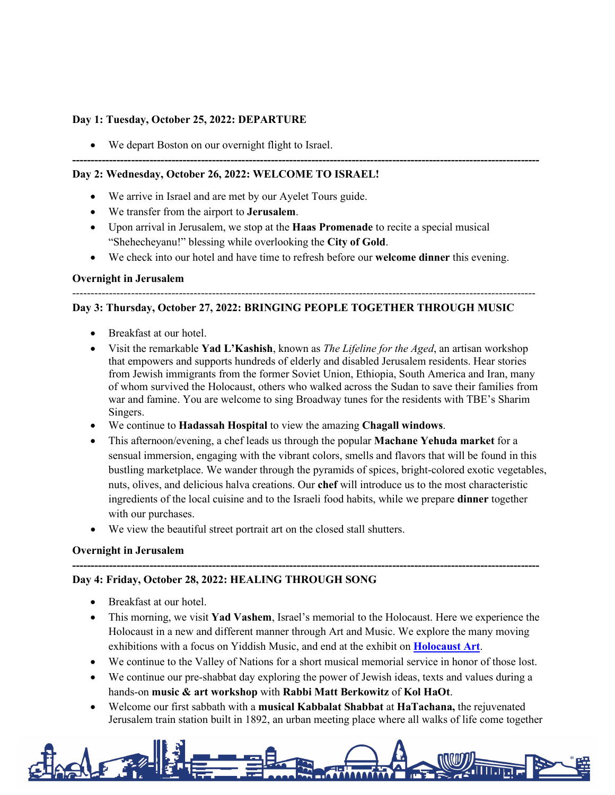#### **Day 1: Tuesday, October 25, 2022: DEPARTURE**

We depart Boston on our overnight flight to Israel.

### **Day 2: Wednesday, October 26, 2022: WELCOME TO ISRAEL!**

- We arrive in Israel and are met by our Ayelet Tours guide.
- We transfer from the airport to **Jerusalem**.
- Upon arrival in Jerusalem, we stop at the **Haas Promenade** to recite a special musical "Shehecheyanu!" blessing while overlooking the **City of Gold**.
- We check into our hotel and have time to refresh before our **welcome dinner** this evening.

**-------------------------------------------------------------------------------------------------------------------------------**

### **Overnight in Jerusalem**

#### ------------------------------------------------------------------------------------------------------------------------------

### **Day 3: Thursday, October 27, 2022: BRINGING PEOPLE TOGETHER THROUGH MUSIC**

- Breakfast at our hotel.
- Visit the remarkable **Yad L'Kashish**, known as *The Lifeline for the Aged*, an artisan workshop that empowers and supports hundreds of elderly and disabled Jerusalem residents. Hear stories from Jewish immigrants from the former Soviet Union, Ethiopia, South America and Iran, many of whom survived the Holocaust, others who walked across the Sudan to save their families from war and famine. You are welcome to sing Broadway tunes for the residents with TBE's Sharim Singers.
- We continue to **Hadassah Hospital** to view the amazing **Chagall windows**.
- This afternoon/evening, a chef leads us through the popular **Machane Yehuda market** for a sensual immersion, engaging with the vibrant colors, smells and flavors that will be found in this bustling marketplace. We wander through the pyramids of spices, bright-colored exotic vegetables, nuts, olives, and delicious halva creations. Our **chef** will introduce us to the most characteristic ingredients of the local cuisine and to the Israeli food habits, while we prepare **dinner** together with our purchases.
- We view the beautiful street portrait art on the closed stall shutters.

### **Overnight in Jerusalem**

## **Day 4: Friday, October 28, 2022: HEALING THROUGH SONG**

- Breakfast at our hotel.
- This morning, we visit **Yad Vashem**, Israel's memorial to the Holocaust. Here we experience the Holocaust in a new and different manner through Art and Music. We explore the many moving exhibitions with a focus on Yiddish Music, and end at the exhibit on **[Holocaust Art](https://www.yadvashem.org/museum/museum-complex/art-museum.html)**.

**-------------------------------------------------------------------------------------------------------------------------------**

- We continue to the Valley of Nations for a short musical memorial service in honor of those lost.
- We continue our pre-shabbat day exploring the power of Jewish ideas, texts and values during a hands-on **music & art workshop** with **Rabbi Matt Berkowitz** of **Kol HaOt**.
- Welcome our first sabbath with a **musical Kabbalat Shabbat** at **HaTachana,** the rejuvenated Jerusalem train station built in 1892, an urban meeting place where all walks of life come together

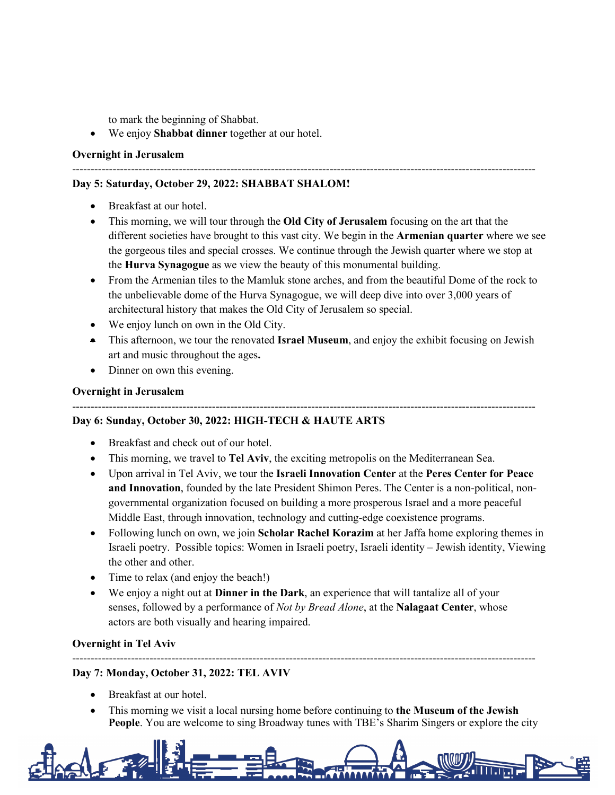to mark the beginning of Shabbat.

• We enjoy **Shabbat dinner** together at our hotel.

## **Overnight in Jerusalem**

## ------------------------------------------------------------------------------------------------------------------------------ **Day 5: Saturday, October 29, 2022: SHABBAT SHALOM!**

- Breakfast at our hotel.
- This morning, we will tour through the **Old City of Jerusalem** focusing on the art that the different societies have brought to this vast city. We begin in the **Armenian quarter** where we see the gorgeous tiles and special crosses. We continue through the Jewish quarter where we stop at the **Hurva Synagogue** as we view the beauty of this monumental building.
- From the Armenian tiles to the Mamluk stone arches, and from the beautiful Dome of the rock to the unbelievable dome of the Hurva Synagogue, we will deep dive into over 3,000 years of architectural history that makes the Old City of Jerusalem so special.
- We enjoy lunch on own in the Old City.
- This afternoon, we tour the renovated **Israel Museum**, and enjoy the exhibit focusing on Jewish art and music throughout the ages**.**
- Dinner on own this evening.

## **Overnight in Jerusalem**

## ------------------------------------------------------------------------------------------------------------------------------

# **Day 6: Sunday, October 30, 2022: HIGH-TECH & HAUTE ARTS**

- Breakfast and check out of our hotel.
- This morning, we travel to **Tel Aviv**, the exciting metropolis on the Mediterranean Sea.
- Upon arrival in Tel Aviv, we tour the **Israeli Innovation Center** at the **Peres Center for Peace and Innovation**, founded by the late President Shimon Peres. The Center is a non-political, nongovernmental organization focused on building a more prosperous Israel and a more peaceful Middle East, through innovation, technology and cutting-edge coexistence programs.
- Following lunch on own, we join **Scholar Rachel Korazim** at her Jaffa home exploring themes in Israeli poetry. Possible topics: Women in Israeli poetry, Israeli identity – Jewish identity, Viewing the other and other.
- Time to relax (and enjoy the beach!)
- We enjoy a night out at **Dinner in the Dark**, an experience that will tantalize all of your senses, followed by a performance of *Not by Bread Alone*, at the **Nalagaat Center**, whose actors are both visually and hearing impaired.

### **Overnight in Tel Aviv**

### ------------------------------------------------------------------------------------------------------------------------------ **Day 7: Monday, October 31, 2022: TEL AVIV**

- Breakfast at our hotel.
- This morning we visit a local nursing home before continuing to **the Museum of the Jewish People**. You are welcome to sing Broadway tunes with TBE's Sharim Singers or explore the city

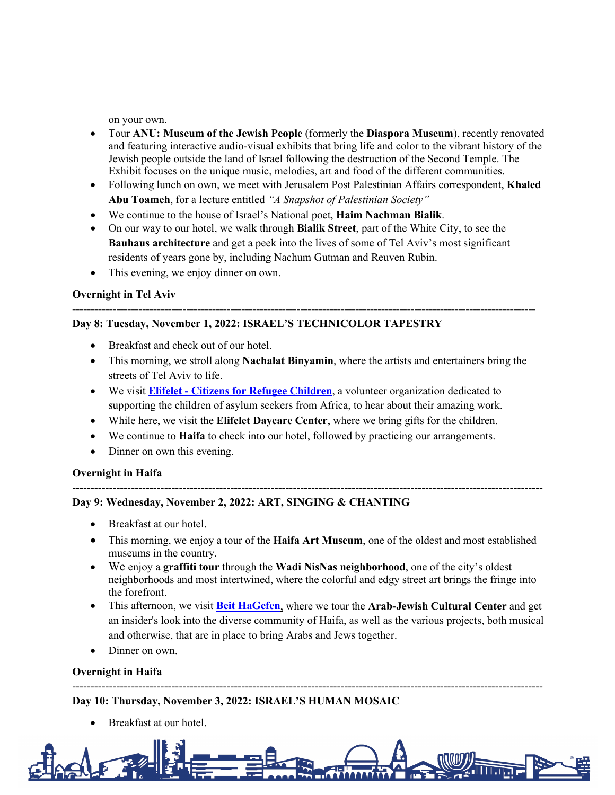on your own.

- Tour **ANU: Museum of the Jewish People** (formerly the **Diaspora Museum**), recently renovated and featuring interactive audio-visual exhibits that bring life and color to the vibrant history of the Jewish people outside the land of Israel following the destruction of the Second Temple. The Exhibit focuses on the unique music, melodies, art and food of the different communities.
- Following lunch on own, we meet with Jerusalem Post Palestinian Affairs correspondent, **Khaled Abu Toameh**, for a lecture entitled *"A Snapshot of Palestinian Society"*
- We continue to the house of Israel's National poet, **Haim Nachman Bialik**.
- On our way to our hotel, we walk through **Bialik Street**, part of the White City, to see the **Bauhaus architecture** and get a peek into the lives of some of Tel Aviv's most significant residents of years gone by, including Nachum Gutman and Reuven Rubin.

**------------------------------------------------------------------------------------------------------------------------------**

This evening, we enjoy dinner on own.

## **Overnight in Tel Aviv**

## **Day 8: Tuesday, November 1, 2022: ISRAEL'S TECHNICOLOR TAPESTRY**

- Breakfast and check out of our hotel.
- This morning, we stroll along **Nachalat Binyamin**, where the artists and entertainers bring the streets of Tel Aviv to life.
- We visit **Elifelet - [Citizens for Refugee Children](https://www.elifelet.org/en)**, a volunteer organization dedicated to supporting the children of asylum seekers from Africa, to hear about their amazing work.
- While here, we visit the **Elifelet Daycare Center**, where we bring gifts for the children.
- We continue to **Haifa** to check into our hotel, followed by practicing our arrangements.
- Dinner on own this evening.

### **Overnight in Haifa**

## **Day 9: Wednesday, November 2, 2022: ART, SINGING & CHANTING**

- Breakfast at our hotel.
- This morning, we enjoy a tour of the **Haifa Art Museum**, one of the oldest and most established museums in the country.

--------------------------------------------------------------------------------------------------------------------------------

- We enjoy a **graffiti tour** through the **Wadi NisNas neighborhood**, one of the city's oldest neighborhoods and most intertwined, where the colorful and edgy street art brings the fringe into the forefront.
- This afternoon, we visit **[Beit HaGefen](https://www.beit-hagefen.com/?lang=2)**, where we tour the **Arab-Jewish Cultural Center** and get an insider's look into the diverse community of Haifa, as well as the various projects, both musical and otherwise, that are in place to bring Arabs and Jews together.
- Dinner on own.

### **Overnight in Haifa**

## **Day 10: Thursday, November 3, 2022: ISRAEL'S HUMAN MOSAIC**

Breakfast at our hotel.



--------------------------------------------------------------------------------------------------------------------------------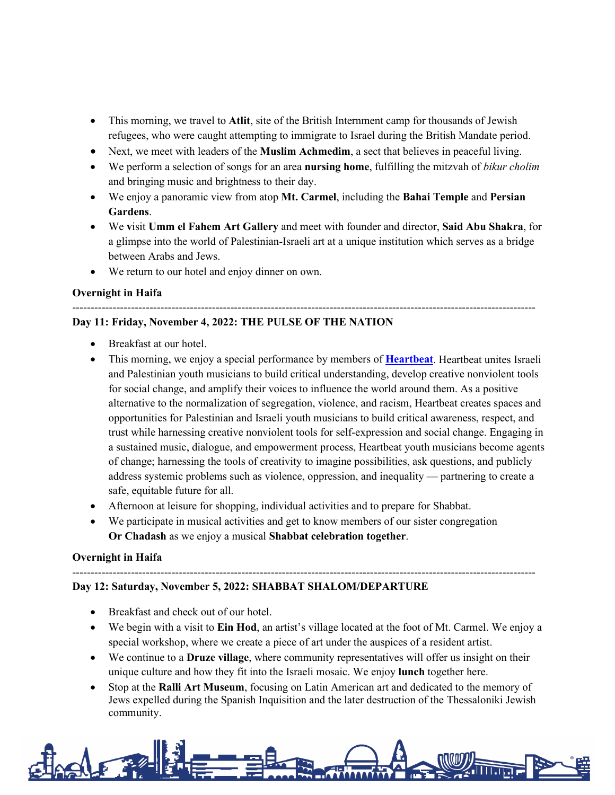- This morning, we travel to **Atlit**, site of the British Internment camp for thousands of Jewish refugees, who were caught attempting to immigrate to Israel during the British Mandate period.
- Next, we meet with leaders of the **Muslim Achmedim**, a sect that believes in peaceful living.
- We perform a selection of songs for an area **nursing home**, fulfilling the mitzvah of *bikur cholim*  and bringing music and brightness to their day.
- We enjoy a panoramic view from atop **Mt. Carmel**, including the **Bahai Temple** and **Persian Gardens**.
- We **v**isit **Umm el Fahem Art Gallery** and meet with founder and director, **Said Abu Shakra**, for a glimpse into the world of Palestinian-Israeli art at a unique institution which serves as a bridge between Arabs and Jews.
- We return to our hotel and enjoy dinner on own.

## **Overnight in Haifa**

## ------------------------------------------------------------------------------------------------------------------------------ **Day 11: Friday, November 4, 2022: THE PULSE OF THE NATION**

- Breakfast at our hotel.
- This morning, we enjoy a special performance by members of **[Heartbeat](http://heartbeat.fm/)**. Heartbeat unites Israeli and Palestinian youth musicians to build critical understanding, develop creative nonviolent tools for social change, and amplify their voices to influence the world around them. As a positive alternative to the normalization of segregation, violence, and racism, Heartbeat creates spaces and opportunities for Palestinian and Israeli youth musicians to build critical awareness, respect, and trust while harnessing creative nonviolent tools for self-expression and social change. Engaging in a sustained music, dialogue, and empowerment process, Heartbeat youth musicians become agents of change; harnessing the tools of creativity to imagine possibilities, ask questions, and publicly address systemic problems such as violence, oppression, and inequality — partnering to create a safe, equitable future for all.
- Afternoon at leisure for shopping, individual activities and to prepare for Shabbat.
- We participate in musical activities and get to know members of our sister congregation **Or Chadash** as we enjoy a musical **Shabbat celebration together**.

------------------------------------------------------------------------------------------------------------------------------

### **Overnight in Haifa**

### **Day 12: Saturday, November 5, 2022: SHABBAT SHALOM/DEPARTURE**

- Breakfast and check out of our hotel.
- We begin with a visit to **Ein Hod**, an artist's village located at the foot of Mt. Carmel. We enjoy a special workshop, where we create a piece of art under the auspices of a resident artist.
- We continue to a **Druze village**, where community representatives will offer us insight on their unique culture and how they fit into the Israeli mosaic. We enjoy **lunch** together here.
- Stop at the **Ralli Art Museum**, focusing on Latin American art and dedicated to the memory of Jews expelled during the Spanish Inquisition and the later destruction of the Thessaloniki Jewish community.